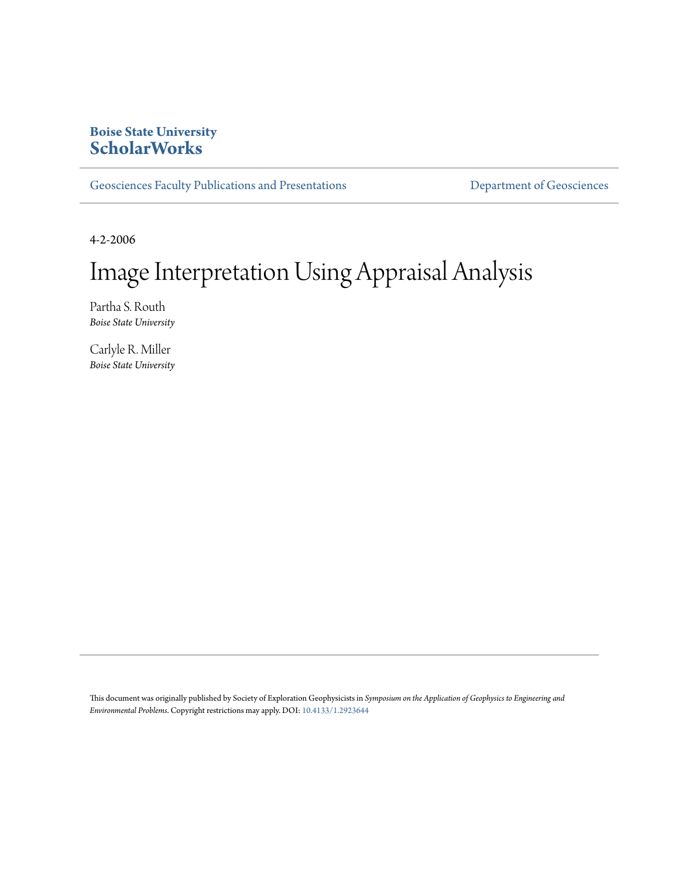# **Boise State University [ScholarWorks](https://scholarworks.boisestate.edu)**

[Geosciences Faculty Publications and Presentations](https://scholarworks.boisestate.edu/geo_facpubs) **Exercise Secure 2018** [Department of Geosciences](https://scholarworks.boisestate.edu/geosciences)

4-2-2006

# Image Interpretation Using Appraisal Analysis

Partha S. Routh *Boise State University*

Carlyle R. Miller *Boise State University*

This document was originally published by Society of Exploration Geophysicists in *Symposium on the Application of Geophysics to Engineering and Environmental Problems*. Copyright restrictions may apply. DOI: [10.4133/1.2923644](http://dx.doi.org/10.4133/1.2923644)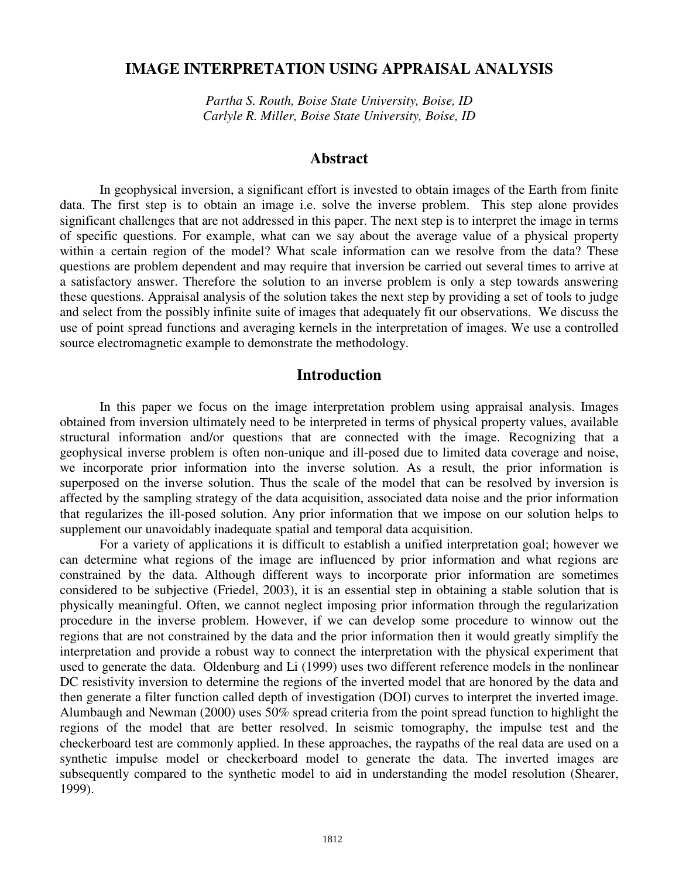# **IMAGE INTERPRETATION USING APPRAISAL ANALYSIS**

*Partha S. Routh, Boise State University, Boise, ID Carlyle R. Miller, Boise State University, Boise, ID*

#### **Abstract**

In geophysical inversion, a significant effort is invested to obtain images of the Earth from finite data. The first step is to obtain an image i.e. solve the inverse problem. This step alone provides significant challenges that are not addressed in this paper. The next step is to interpret the image in terms of specific questions. For example, what can we say about the average value of a physical property within a certain region of the model? What scale information can we resolve from the data? These questions are problem dependent and may require that inversion be carried out several times to arrive at a satisfactory answer. Therefore the solution to an inverse problem is only a step towards answering these questions. Appraisal analysis of the solution takes the next step by providing a set of tools to judge and select from the possibly infinite suite of images that adequately fit our observations. We discuss the use of point spread functions and averaging kernels in the interpretation of images. We use a controlled source electromagnetic example to demonstrate the methodology.

#### **Introduction**

In this paper we focus on the image interpretation problem using appraisal analysis. Images obtained from inversion ultimately need to be interpreted in terms of physical property values, available structural information and/or questions that are connected with the image. Recognizing that a geophysical inverse problem is often non-unique and ill-posed due to limited data coverage and noise, we incorporate prior information into the inverse solution. As a result, the prior information is superposed on the inverse solution. Thus the scale of the model that can be resolved by inversion is affected by the sampling strategy of the data acquisition, associated data noise and the prior information that regularizes the ill-posed solution. Any prior information that we impose on our solution helps to supplement our unavoidably inadequate spatial and temporal data acquisition.

For a variety of applications it is difficult to establish a unified interpretation goal; however we can determine what regions of the image are influenced by prior information and what regions are constrained by the data. Although different ways to incorporate prior information are sometimes considered to be subjective (Friedel, 2003), it is an essential step in obtaining a stable solution that is physically meaningful. Often, we cannot neglect imposing prior information through the regularization procedure in the inverse problem. However, if we can develop some procedure to winnow out the regions that are not constrained by the data and the prior information then it would greatly simplify the interpretation and provide a robust way to connect the interpretation with the physical experiment that used to generate the data. Oldenburg and Li (1999) uses two different reference models in the nonlinear DC resistivity inversion to determine the regions of the inverted model that are honored by the data and then generate a filter function called depth of investigation (DOI) curves to interpret the inverted image. Alumbaugh and Newman (2000) uses 50% spread criteria from the point spread function to highlight the regions of the model that are better resolved. In seismic tomography, the impulse test and the checkerboard test are commonly applied. In these approaches, the raypaths of the real data are used on a synthetic impulse model or checkerboard model to generate the data. The inverted images are subsequently compared to the synthetic model to aid in understanding the model resolution (Shearer, 1999).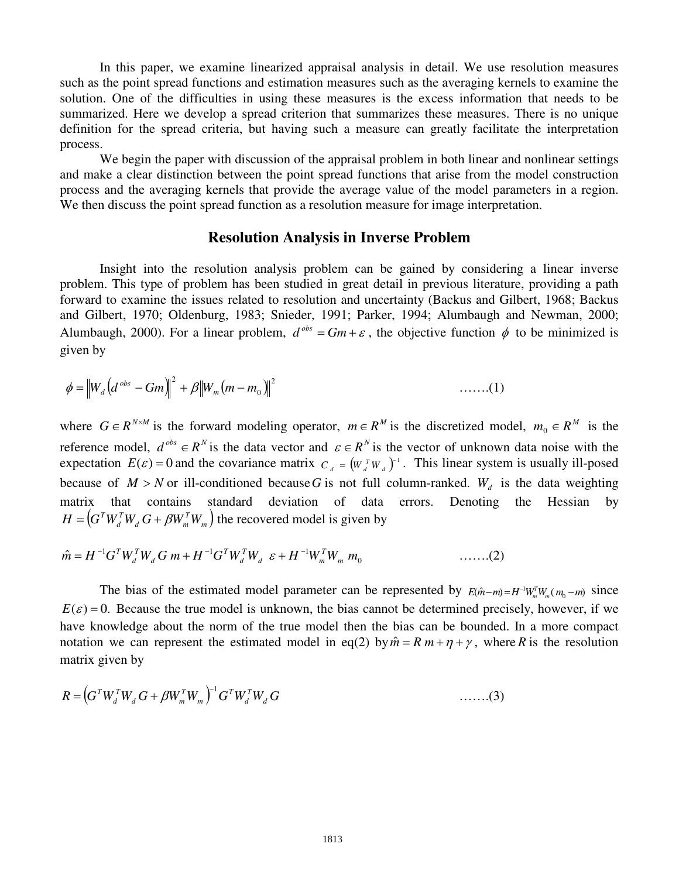In this paper, we examine linearized appraisal analysis in detail. We use resolution measures such as the point spread functions and estimation measures such as the averaging kernels to examine the solution. One of the difficulties in using these measures is the excess information that needs to be summarized. Here we develop a spread criterion that summarizes these measures. There is no unique definition for the spread criteria, but having such a measure can greatly facilitate the interpretation process.

We begin the paper with discussion of the appraisal problem in both linear and nonlinear settings and make a clear distinction between the point spread functions that arise from the model construction process and the averaging kernels that provide the average value of the model parameters in a region. We then discuss the point spread function as a resolution measure for image interpretation.

### **Resolution Analysis in Inverse Problem**

Insight into the resolution analysis problem can be gained by considering a linear inverse problem. This type of problem has been studied in great detail in previous literature, providing a path forward to examine the issues related to resolution and uncertainty (Backus and Gilbert, 1968; Backus and Gilbert, 1970; Oldenburg, 1983; Snieder, 1991; Parker, 1994; Alumbaugh and Newman, 2000; Alumbaugh, 2000). For a linear problem,  $d^{obs} = Gm + \varepsilon$ , the objective function  $\phi$  to be minimized is given by

$$
\phi = ||W_d (d^{\text{obs}} - Gm)||^2 + \beta ||W_m (m - m_0)||^2
$$
 .......(1)

where  $G \in R^{N \times M}$  is the forward modeling operator,  $m \in R^M$  is the discretized model,  $m_0 \in R^M$  is the reference model,  $d^{obs} \in R^N$  is the data vector and  $\varepsilon \in R^N$  is the vector of unknown data noise with the expectation  $E(\varepsilon) = 0$  and the covariance matrix  $C_d = (W_d^T W_d)^{-1}$ . This linear system is usually ill-posed because of  $M > N$  or ill-conditioned because G is not full column-ranked.  $W_d$  is the data weighting matrix that contains standard deviation of data errors. Denoting the Hessian by  $\left( G^T W_d^T W_d^{\phantom{T}} \, G + \beta W_m^T W_m^{\phantom{T}} \right)$  $d$   $\cup$   $\mu$ <sup>*m*</sup> $m$ </sup> *T*  $H = (G^T W_d^T W_d G + \beta W_m^T W_m)$  the recovered model is given by

$$
\hat{m} = H^{-1}G^{T}W_{d}^{T}W_{d}G m + H^{-1}G^{T}W_{d}^{T}W_{d} \varepsilon + H^{-1}W_{m}^{T}W_{m} m_{0} \qquad \qquad \ldots \ldots (2)
$$

The bias of the estimated model parameter can be represented by  $E(\hat{m}-m) = H^{-1}W_m^T W_m(m_0-m)$  since  $E(\varepsilon) = 0$ . Because the true model is unknown, the bias cannot be determined precisely, however, if we have knowledge about the norm of the true model then the bias can be bounded. In a more compact notation we can represent the estimated model in eq(2) by  $\hat{m} = R m + \eta + \gamma$ , where *R* is the resolution matrix given by

$$
R = \left(G^T W_d^T W_d G + \beta W_m^T W_m\right)^{-1} G^T W_d^T W_d G \qquad \qquad \dots \dots \dots (3)
$$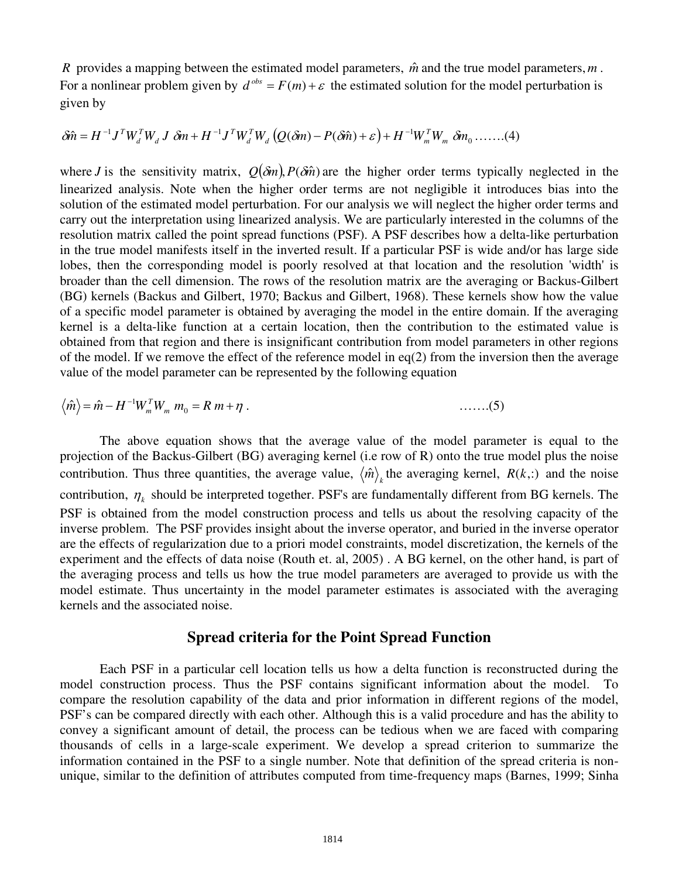*R* provides a mapping between the estimated model parameters,  $\hat{m}$  and the true model parameters,  $m$ . For a nonlinear problem given by  $d^{obs} = F(m) + \varepsilon$  the estimated solution for the model perturbation is given by

$$
\delta \hat{m} = H^{-1} J^T W_d^T W_d J \, \delta m + H^{-1} J^T W_d^T W_d \left( Q(\delta m) - P(\delta \hat{m}) + \varepsilon \right) + H^{-1} W_m^T W_m \, \delta m_0 \, \dots \, . . (4)
$$

where *J* is the sensitivity matrix,  $Q(\delta m)$ ,  $P(\delta \hat{m})$  are the higher order terms typically neglected in the linearized analysis. Note when the higher order terms are not negligible it introduces bias into the solution of the estimated model perturbation. For our analysis we will neglect the higher order terms and carry out the interpretation using linearized analysis. We are particularly interested in the columns of the resolution matrix called the point spread functions (PSF). A PSF describes how a delta-like perturbation in the true model manifests itself in the inverted result. If a particular PSF is wide and/or has large side lobes, then the corresponding model is poorly resolved at that location and the resolution 'width' is broader than the cell dimension. The rows of the resolution matrix are the averaging or Backus-Gilbert (BG) kernels (Backus and Gilbert, 1970; Backus and Gilbert, 1968). These kernels show how the value of a specific model parameter is obtained by averaging the model in the entire domain. If the averaging kernel is a delta-like function at a certain location, then the contribution to the estimated value is obtained from that region and there is insignificant contribution from model parameters in other regions of the model. If we remove the effect of the reference model in  $eq(2)$  from the inversion then the average value of the model parameter can be represented by the following equation

$$
\langle \hat{m} \rangle = \hat{m} - H^{-1} W_m^T W_m m_0 = R m + \eta . \qquad \qquad \dots \dots (5)
$$

The above equation shows that the average value of the model parameter is equal to the projection of the Backus-Gilbert (BG) averaging kernel (i.e row of R) onto the true model plus the noise contribution. Thus three quantities, the average value,  $\langle \hat{m} \rangle$  the averaging kernel,  $R(k, \cdot)$  and the noise contribution,  $\eta_k$  should be interpreted together. PSF's are fundamentally different from BG kernels. The PSF is obtained from the model construction process and tells us about the resolving capacity of the inverse problem. The PSF provides insight about the inverse operator, and buried in the inverse operator are the effects of regularization due to a priori model constraints, model discretization, the kernels of the experiment and the effects of data noise (Routh et. al, 2005) . A BG kernel, on the other hand, is part of the averaging process and tells us how the true model parameters are averaged to provide us with the model estimate. Thus uncertainty in the model parameter estimates is associated with the averaging kernels and the associated noise.

#### **Spread criteria for the Point Spread Function**

Each PSF in a particular cell location tells us how a delta function is reconstructed during the model construction process. Thus the PSF contains significant information about the model. To compare the resolution capability of the data and prior information in different regions of the model, PSF's can be compared directly with each other. Although this is a valid procedure and has the ability to convey a significant amount of detail, the process can be tedious when we are faced with comparing thousands of cells in a large-scale experiment. We develop a spread criterion to summarize the information contained in the PSF to a single number. Note that definition of the spread criteria is nonunique, similar to the definition of attributes computed from time-frequency maps (Barnes, 1999; Sinha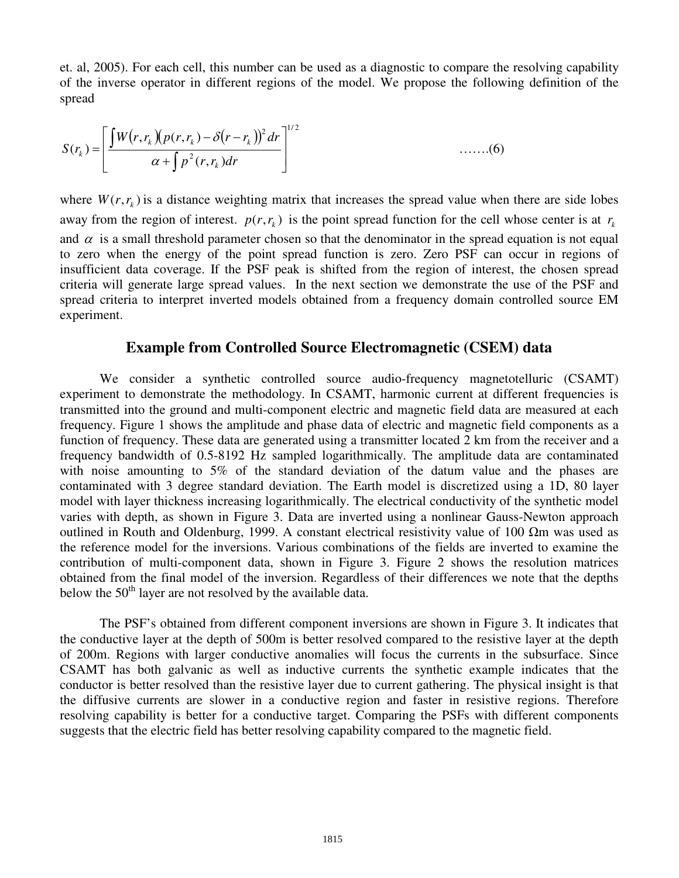et. al, 2005). For each cell, this number can be used as a diagnostic to compare the resolving capability of the inverse operator in different regions of the model. We propose the following definition of the spread

$$
S(r_k) = \left[ \frac{\int W(r, r_k) (p(r, r_k) - \delta(r - r_k))^2 dr}{\alpha + \int p^2(r, r_k) dr} \right]^{1/2}
$$
 ......(6)

where  $W(r, r_k)$  is a distance weighting matrix that increases the spread value when there are side lobes away from the region of interest.  $p(r, r_h)$  is the point spread function for the cell whose center is at  $r_h$ and  $\alpha$  is a small threshold parameter chosen so that the denominator in the spread equation is not equal to zero when the energy of the point spread function is zero. Zero PSF can occur in regions of insufficient data coverage. If the PSF peak is shifted from the region of interest, the chosen spread criteria will generate large spread values. In the next section we demonstrate the use of the PSF and spread criteria to interpret inverted models obtained from a frequency domain controlled source EM experiment.

## **Example from Controlled Source Electromagnetic (CSEM) data**

We consider a synthetic controlled source audio-frequency magnetotelluric (CSAMT) experiment to demonstrate the methodology. In CSAMT, harmonic current at different frequencies is transmitted into the ground and multi-component electric and magnetic field data are measured at each frequency. Figure 1 shows the amplitude and phase data of electric and magnetic field components as a function of frequency. These data are generated using a transmitter located 2 km from the receiver and a frequency bandwidth of 0.5-8192 Hz sampled logarithmically. The amplitude data are contaminated with noise amounting to 5% of the standard deviation of the datum value and the phases are contaminated with 3 degree standard deviation. The Earth model is discretized using a 1D, 80 layer model with layer thickness increasing logarithmically. The electrical conductivity of the synthetic model varies with depth, as shown in Figure 3. Data are inverted using a nonlinear Gauss-Newton approach outlined in Routh and Oldenburg, 1999. A constant electrical resistivity value of 100  $\Omega$ m was used as the reference model for the inversions. Various combinations of the fields are inverted to examine the contribution of multi-component data, shown in Figure 3. Figure 2 shows the resolution matrices obtained from the final model of the inversion. Regardless of their differences we note that the depths below the  $50<sup>th</sup>$  layer are not resolved by the available data.

The PSF's obtained from different component inversions are shown in Figure 3. It indicates that the conductive layer at the depth of 500m is better resolved compared to the resistive layer at the depth of 200m. Regions with larger conductive anomalies will focus the currents in the subsurface. Since CSAMT has both galvanic as well as inductive currents the synthetic example indicates that the conductor is better resolved than the resistive layer due to current gathering. The physical insight is that the diffusive currents are slower in a conductive region and faster in resistive regions. Therefore resolving capability is better for a conductive target. Comparing the PSFs with different components suggests that the electric field has better resolving capability compared to the magnetic field.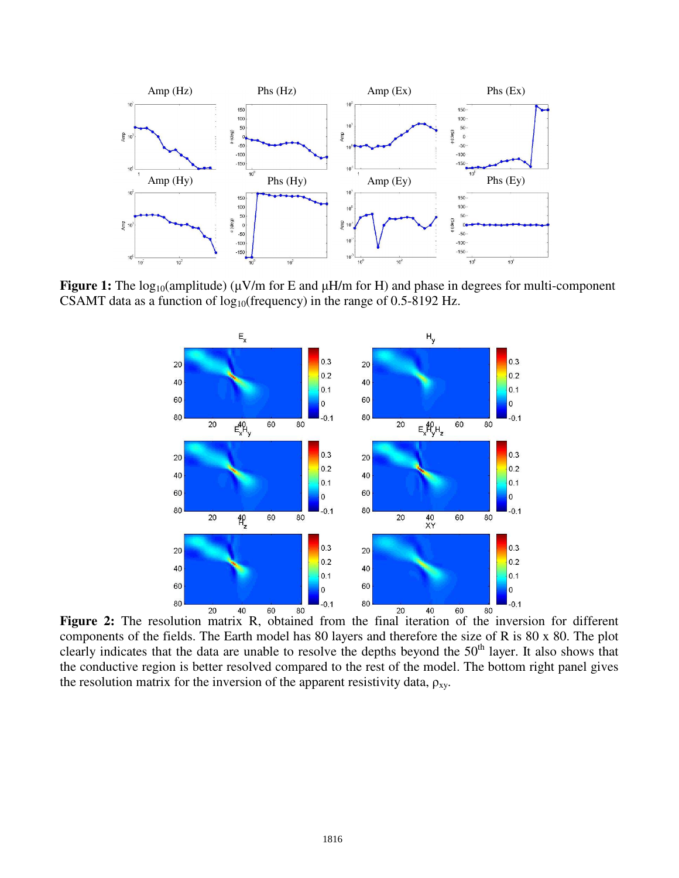

**Figure 1:** The log<sub>10</sub>(amplitude) ( $\mu$ V/m for E and  $\mu$ H/m for H) and phase in degrees for multi-component CSAMT data as a function of  $log_{10}$ (frequency) in the range of 0.5-8192 Hz.



**Figure 2:** The resolution matrix R, obtained from the final iteration of the inversion for different components of the fields. The Earth model has 80 layers and therefore the size of R is 80 x 80. The plot clearly indicates that the data are unable to resolve the depths beyond the  $50<sup>th</sup>$  layer. It also shows that the conductive region is better resolved compared to the rest of the model. The bottom right panel gives the resolution matrix for the inversion of the apparent resistivity data,  $\rho_{xy}$ .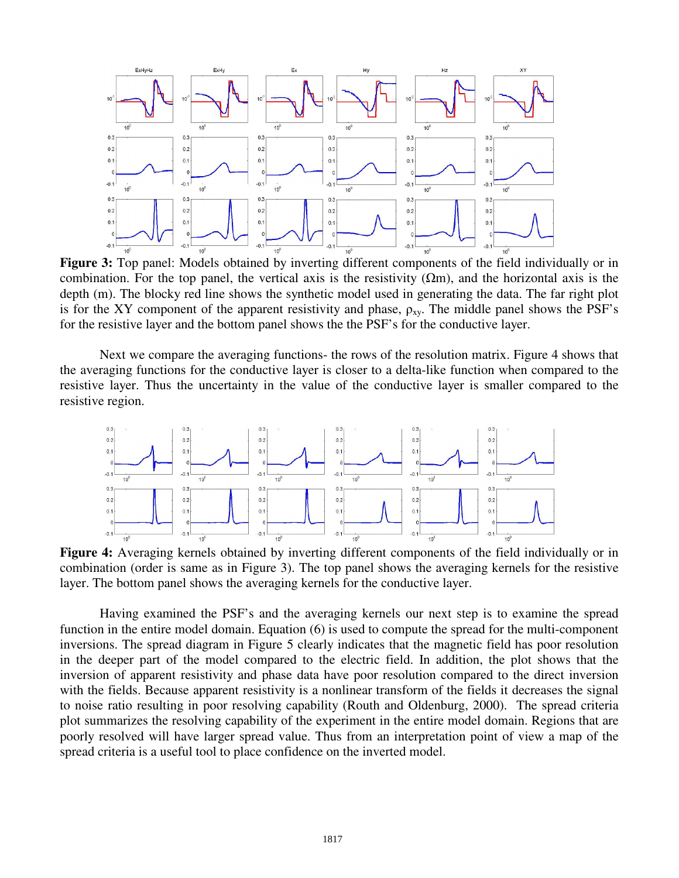

**Figure 3:** Top panel: Models obtained by inverting different components of the field individually or in combination. For the top panel, the vertical axis is the resistivity  $(\Omega m)$ , and the horizontal axis is the depth (m). The blocky red line shows the synthetic model used in generating the data. The far right plot is for the XY component of the apparent resistivity and phase,  $\rho_{xy}$ . The middle panel shows the PSF's for the resistive layer and the bottom panel shows the the PSF's for the conductive layer.

Next we compare the averaging functions- the rows of the resolution matrix. Figure 4 shows that the averaging functions for the conductive layer is closer to a delta-like function when compared to the resistive layer. Thus the uncertainty in the value of the conductive layer is smaller compared to the resistive region.



**Figure 4:** Averaging kernels obtained by inverting different components of the field individually or in combination (order is same as in Figure 3). The top panel shows the averaging kernels for the resistive layer. The bottom panel shows the averaging kernels for the conductive layer.

Having examined the PSF's and the averaging kernels our next step is to examine the spread function in the entire model domain. Equation (6) is used to compute the spread for the multi-component inversions. The spread diagram in Figure 5 clearly indicates that the magnetic field has poor resolution in the deeper part of the model compared to the electric field. In addition, the plot shows that the inversion of apparent resistivity and phase data have poor resolution compared to the direct inversion with the fields. Because apparent resistivity is a nonlinear transform of the fields it decreases the signal to noise ratio resulting in poor resolving capability (Routh and Oldenburg, 2000). The spread criteria plot summarizes the resolving capability of the experiment in the entire model domain. Regions that are poorly resolved will have larger spread value. Thus from an interpretation point of view a map of the spread criteria is a useful tool to place confidence on the inverted model.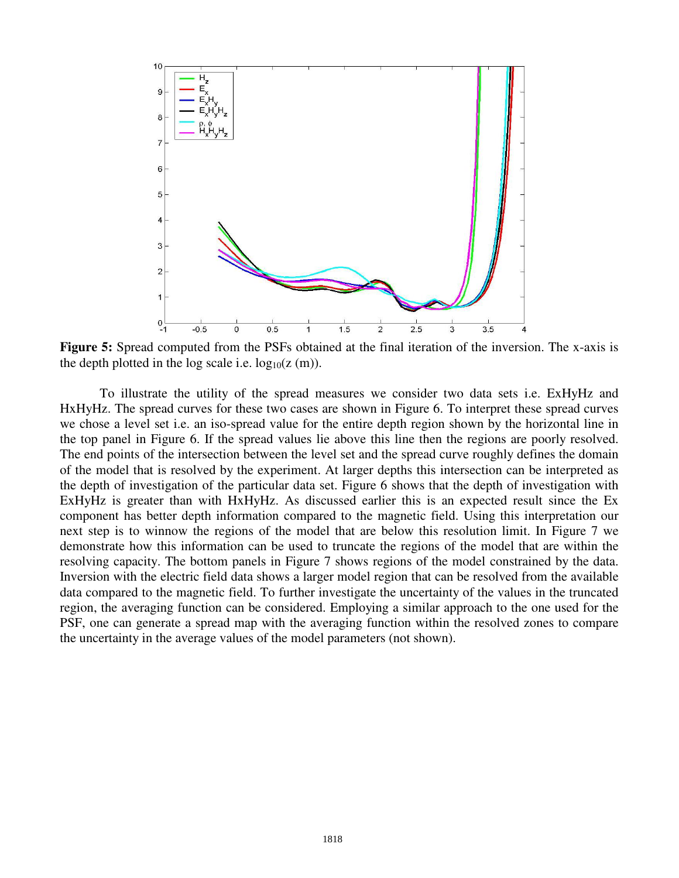

**Figure 5:** Spread computed from the PSFs obtained at the final iteration of the inversion. The x-axis is the depth plotted in the log scale i.e.  $log_{10}(z \text{ (m)}).$ 

To illustrate the utility of the spread measures we consider two data sets i.e. ExHyHz and HxHyHz. The spread curves for these two cases are shown in Figure 6. To interpret these spread curves we chose a level set i.e. an iso-spread value for the entire depth region shown by the horizontal line in the top panel in Figure 6. If the spread values lie above this line then the regions are poorly resolved. The end points of the intersection between the level set and the spread curve roughly defines the domain of the model that is resolved by the experiment. At larger depths this intersection can be interpreted as the depth of investigation of the particular data set. Figure 6 shows that the depth of investigation with ExHyHz is greater than with HxHyHz. As discussed earlier this is an expected result since the Ex component has better depth information compared to the magnetic field. Using this interpretation our next step is to winnow the regions of the model that are below this resolution limit. In Figure 7 we demonstrate how this information can be used to truncate the regions of the model that are within the resolving capacity. The bottom panels in Figure 7 shows regions of the model constrained by the data. Inversion with the electric field data shows a larger model region that can be resolved from the available data compared to the magnetic field. To further investigate the uncertainty of the values in the truncated region, the averaging function can be considered. Employing a similar approach to the one used for the PSF, one can generate a spread map with the averaging function within the resolved zones to compare the uncertainty in the average values of the model parameters (not shown).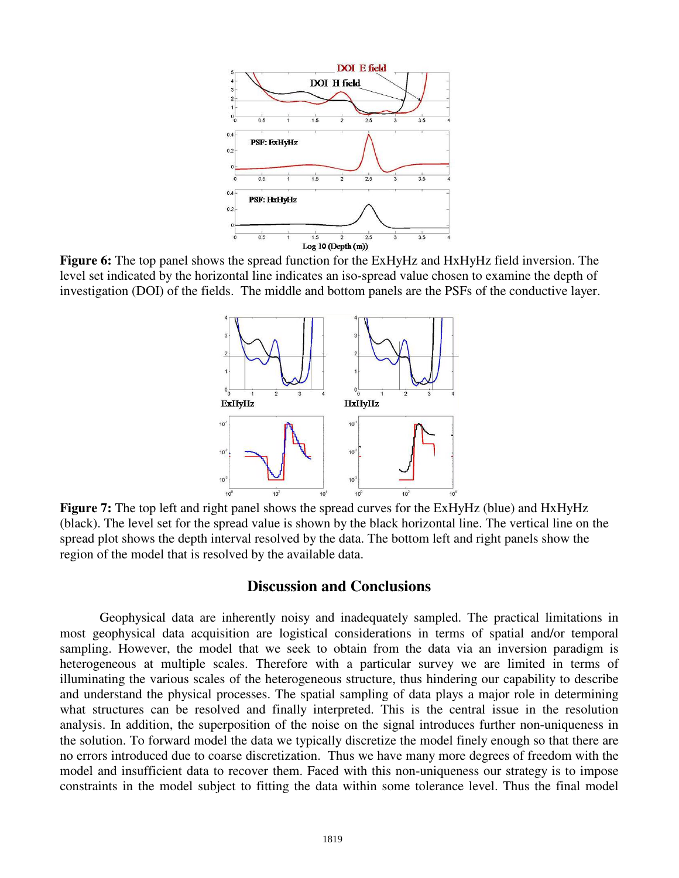

**Figure 6:** The top panel shows the spread function for the ExHyHz and HxHyHz field inversion. The level set indicated by the horizontal line indicates an iso-spread value chosen to examine the depth of investigation (DOI) of the fields. The middle and bottom panels are the PSFs of the conductive layer.



**Figure 7:** The top left and right panel shows the spread curves for the ExHyHz (blue) and HxHyHz (black). The level set for the spread value is shown by the black horizontal line. The vertical line on the spread plot shows the depth interval resolved by the data. The bottom left and right panels show the region of the model that is resolved by the available data.

# **Discussion and Conclusions**

Geophysical data are inherently noisy and inadequately sampled. The practical limitations in most geophysical data acquisition are logistical considerations in terms of spatial and/or temporal sampling. However, the model that we seek to obtain from the data via an inversion paradigm is heterogeneous at multiple scales. Therefore with a particular survey we are limited in terms of illuminating the various scales of the heterogeneous structure, thus hindering our capability to describe and understand the physical processes. The spatial sampling of data plays a major role in determining what structures can be resolved and finally interpreted. This is the central issue in the resolution analysis. In addition, the superposition of the noise on the signal introduces further non-uniqueness in the solution. To forward model the data we typically discretize the model finely enough so that there are no errors introduced due to coarse discretization. Thus we have many more degrees of freedom with the model and insufficient data to recover them. Faced with this non-uniqueness our strategy is to impose constraints in the model subject to fitting the data within some tolerance level. Thus the final model